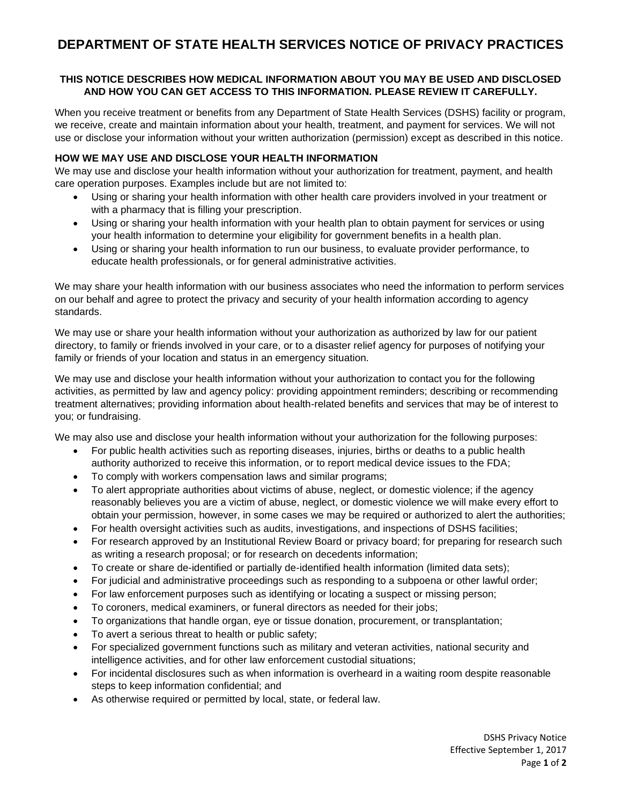# **DEPARTMENT OF STATE HEALTH SERVICES NOTICE OF PRIVACY PRACTICES**

### **THIS NOTICE DESCRIBES HOW MEDICAL INFORMATION ABOUT YOU MAY BE USED AND DISCLOSED AND HOW YOU CAN GET ACCESS TO THIS INFORMATION. PLEASE REVIEW IT CAREFULLY.**

When you receive treatment or benefits from any Department of State Health Services (DSHS) facility or program, we receive, create and maintain information about your health, treatment, and payment for services. We will not use or disclose your information without your written authorization (permission) except as described in this notice.

### **HOW WE MAY USE AND DISCLOSE YOUR HEALTH INFORMATION**

We may use and disclose your health information without your authorization for treatment, payment, and health care operation purposes. Examples include but are not limited to:

- Using or sharing your health information with other health care providers involved in your treatment or with a pharmacy that is filling your prescription.
- Using or sharing your health information with your health plan to obtain payment for services or using your health information to determine your eligibility for government benefits in a health plan.
- Using or sharing your health information to run our business, to evaluate provider performance, to educate health professionals, or for general administrative activities.

We may share your health information with our business associates who need the information to perform services on our behalf and agree to protect the privacy and security of your health information according to agency standards.

We may use or share your health information without your authorization as authorized by law for our patient directory, to family or friends involved in your care, or to a disaster relief agency for purposes of notifying your family or friends of your location and status in an emergency situation.

We may use and disclose your health information without your authorization to contact you for the following activities, as permitted by law and agency policy: providing appointment reminders; describing or recommending treatment alternatives; providing information about health-related benefits and services that may be of interest to you; or fundraising.

We may also use and disclose your health information without your authorization for the following purposes:

- For public health activities such as reporting diseases, injuries, births or deaths to a public health authority authorized to receive this information, or to report medical device issues to the FDA;
- To comply with workers compensation laws and similar programs;
- To alert appropriate authorities about victims of abuse, neglect, or domestic violence; if the agency reasonably believes you are a victim of abuse, neglect, or domestic violence we will make every effort to obtain your permission, however, in some cases we may be required or authorized to alert the authorities;
- For health oversight activities such as audits, investigations, and inspections of DSHS facilities;
- For research approved by an Institutional Review Board or privacy board; for preparing for research such as writing a research proposal; or for research on decedents information;
- To create or share de-identified or partially de-identified health information (limited data sets);
- For judicial and administrative proceedings such as responding to a subpoena or other lawful order;
- For law enforcement purposes such as identifying or locating a suspect or missing person;
- To coroners, medical examiners, or funeral directors as needed for their jobs;
- To organizations that handle organ, eye or tissue donation, procurement, or transplantation;
- To avert a serious threat to health or public safety;
- For specialized government functions such as military and veteran activities, national security and intelligence activities, and for other law enforcement custodial situations;
- For incidental disclosures such as when information is overheard in a waiting room despite reasonable steps to keep information confidential; and
- As otherwise required or permitted by local, state, or federal law.